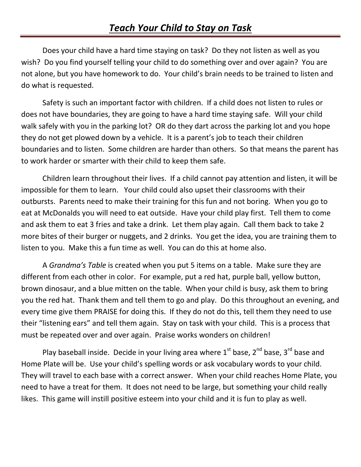Does your child have a hard time staying on task? Do they not listen as well as you wish? Do you find yourself telling your child to do something over and over again? You are not alone, but you have homework to do. Your child's brain needs to be trained to listen and do what is requested.

Safety is such an important factor with children. If a child does not listen to rules or does not have boundaries, they are going to have a hard time staying safe. Will your child walk safely with you in the parking lot? OR do they dart across the parking lot and you hope they do not get plowed down by a vehicle. It is a parent's job to teach their children boundaries and to listen. Some children are harder than others. So that means the parent has to work harder or smarter with their child to keep them safe.

Children learn throughout their lives. If a child cannot pay attention and listen, it will be impossible for them to learn. Your child could also upset their classrooms with their outbursts. Parents need to make their training for this fun and not boring. When you go to eat at McDonalds you will need to eat outside. Have your child play first. Tell them to come and ask them to eat 3 fries and take a drink. Let them play again. Call them back to take 2 more bites of their burger or nuggets, and 2 drinks. You get the idea, you are training them to listen to you. Make this a fun time as well. You can do this at home also.

A *Grandma's Table* is created when you put 5 items on a table. Make sure they are different from each other in color. For example, put a red hat, purple ball, yellow button, brown dinosaur, and a blue mitten on the table. When your child is busy, ask them to bring you the red hat. Thank them and tell them to go and play. Do this throughout an evening, and every time give them PRAISE for doing this. If they do not do this, tell them they need to use their "listening ears" and tell them again. Stay on task with your child. This is a process that must be repeated over and over again. Praise works wonders on children!

Play baseball inside. Decide in your living area where  $1<sup>st</sup>$  base,  $2<sup>nd</sup>$  base and Home Plate will be. Use your child's spelling words or ask vocabulary words to your child. They will travel to each base with a correct answer. When your child reaches Home Plate, you need to have a treat for them. It does not need to be large, but something your child really likes. This game will instill positive esteem into your child and it is fun to play as well.